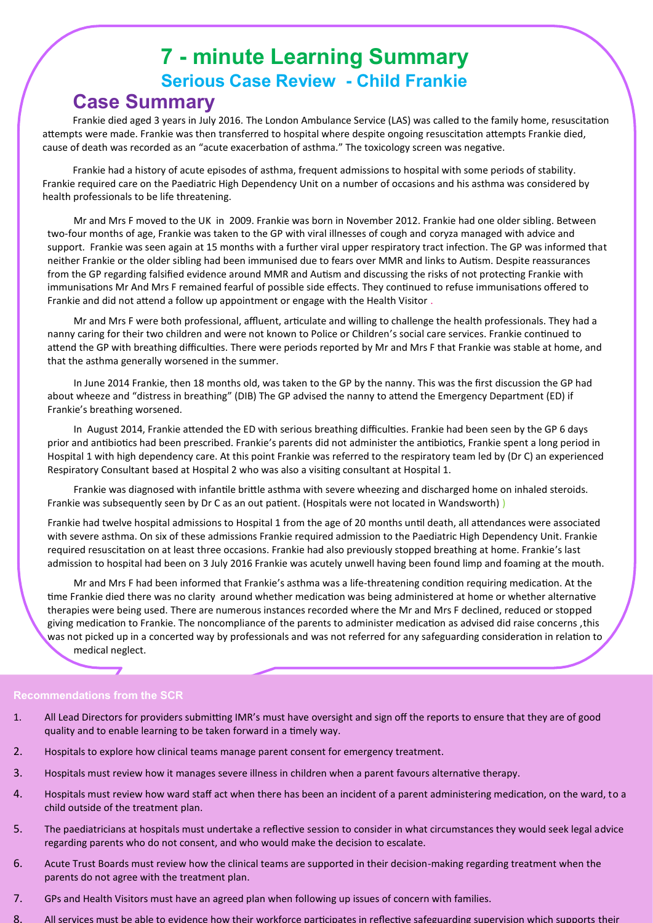# **7 - minute Learning Summary Serious Case Review - Child Frankie Case Summary**

Frankie died aged 3 years in July 2016. The London Ambulance Service (LAS) was called to the family home, resuscitation attempts were made. Frankie was then transferred to hospital where despite ongoing resuscitation attempts Frankie died, cause of death was recorded as an "acute exacerbation of asthma." The toxicology screen was negative.

Frankie had a history of acute episodes of asthma, frequent admissions to hospital with some periods of stability. Frankie required care on the Paediatric High Dependency Unit on a number of occasions and his asthma was considered by health professionals to be life threatening.

Mr and Mrs F moved to the UK in 2009. Frankie was born in November 2012. Frankie had one older sibling. Between two-four months of age, Frankie was taken to the GP with viral illnesses of cough and coryza managed with advice and support. Frankie was seen again at 15 months with a further viral upper respiratory tract infection. The GP was informed that neither Frankie or the older sibling had been immunised due to fears over MMR and links to Autism. Despite reassurances from the GP regarding falsified evidence around MMR and Autism and discussing the risks of not protecting Frankie with immunisations Mr And Mrs F remained fearful of possible side effects. They continued to refuse immunisations offered to Frankie and did not attend a follow up appointment or engage with the Health Visitor .

Mr and Mrs F were both professional, affluent, articulate and willing to challenge the health professionals. They had a nanny caring for their two children and were not known to Police or Children's social care services. Frankie continued to attend the GP with breathing difficulties. There were periods reported by Mr and Mrs F that Frankie was stable at home, and that the asthma generally worsened in the summer.

In June 2014 Frankie, then 18 months old, was taken to the GP by the nanny. This was the first discussion the GP had about wheeze and "distress in breathing" (DIB) The GP advised the nanny to attend the Emergency Department (ED) if Frankie's breathing worsened.

In August 2014, Frankie attended the ED with serious breathing difficulties. Frankie had been seen by the GP 6 days prior and antibiotics had been prescribed. Frankie's parents did not administer the antibiotics, Frankie spent a long period in Hospital 1 with high dependency care. At this point Frankie was referred to the respiratory team led by (Dr C) an experienced Respiratory Consultant based at Hospital 2 who was also a visiting consultant at Hospital 1.

Frankie was diagnosed with infantile brittle asthma with severe wheezing and discharged home on inhaled steroids. Frankie was subsequently seen by Dr C as an out patient. (Hospitals were not located in Wandsworth))

Frankie had twelve hospital admissions to Hospital 1 from the age of 20 months until death, all attendances were associated with severe asthma. On six of these admissions Frankie required admission to the Paediatric High Dependency Unit. Frankie required resuscitation on at least three occasions. Frankie had also previously stopped breathing at home. Frankie's last admission to hospital had been on 3 July 2016 Frankie was acutely unwell having been found limp and foaming at the mouth.

Mr and Mrs F had been informed that Frankie's asthma was a life-threatening condition requiring medication. At the time Frankie died there was no clarity around whether medication was being administered at home or whether alternative therapies were being used. There are numerous instances recorded where the Mr and Mrs F declined, reduced or stopped giving medication to Frankie. The noncompliance of the parents to administer medication as advised did raise concerns ,this was not picked up in a concerted way by professionals and was not referred for any safeguarding consideration in relation to medical neglect.

#### **Recommendations from the SCR**

- 1. All Lead Directors for providers submitting IMR's must have oversight and sign off the reports to ensure that they are of good quality and to enable learning to be taken forward in a timely way.
- 2. Hospitals to explore how clinical teams manage parent consent for emergency treatment.
- 3. Hospitals must review how it manages severe illness in children when a parent favours alternative therapy.
- 4. Hospitals must review how ward staff act when there has been an incident of a parent administering medication, on the ward, to a child outside of the treatment plan.
- 5. The paediatricians at hospitals must undertake a reflective session to consider in what circumstances they would seek legal advice regarding parents who do not consent, and who would make the decision to escalate.
- 6. Acute Trust Boards must review how the clinical teams are supported in their decision-making regarding treatment when the parents do not agree with the treatment plan.
- 7. GPs and Health Visitors must have an agreed plan when following up issues of concern with families.
- 8. All services must be able to evidence how their workforce participates in reflective safeguarding supervision which supports their